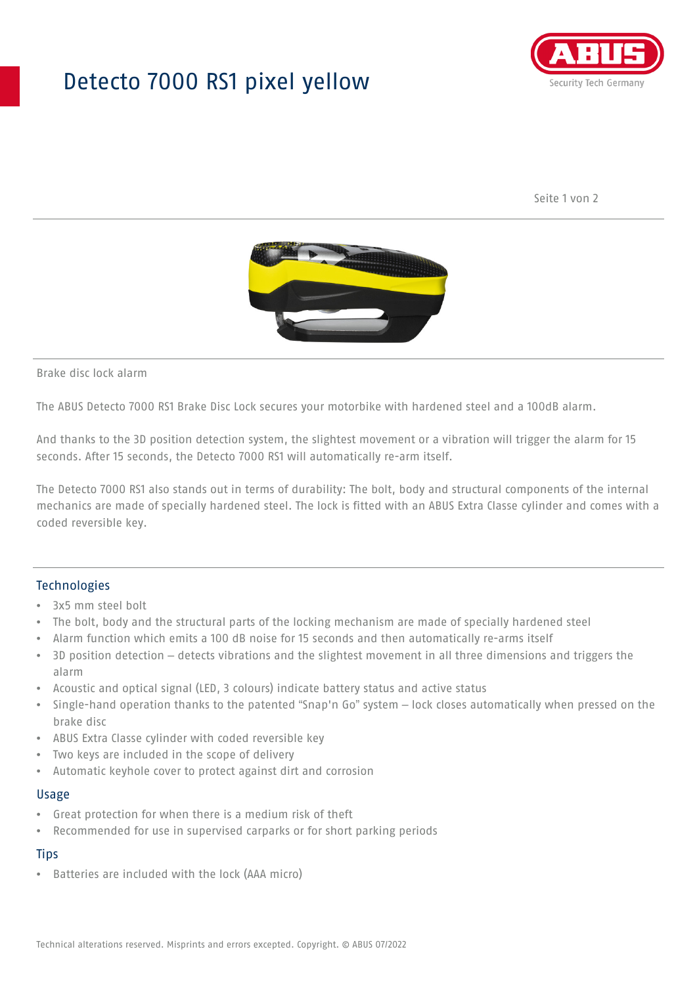## Detecto 7000 RS1 pixel yellow



Seite 1 von 2



Brake disc lock alarm

The ABUS Detecto 7000 RS1 Brake Disc Lock secures your motorbike with hardened steel and a 100dB alarm.

And thanks to the 3D position detection system, the slightest movement or a vibration will trigger the alarm for 15 seconds. After 15 seconds, the Detecto 7000 RS1 will automatically re-arm itself.

The Detecto 7000 RS1 also stands out in terms of durability: The bolt, body and structural components of the internal mechanics are made of specially hardened steel. The lock is fitted with an ABUS Extra Classe cylinder and comes with a coded reversible key.

### Technologies

- 3x5 mm steel bolt
- The bolt, body and the structural parts of the locking mechanism are made of specially hardened steel
- Alarm function which emits a 100 dB noise for 15 seconds and then automatically re-arms itself
- 3D position detection detects vibrations and the slightest movement in all three dimensions and triggers the alarm
- Acoustic and optical signal (LED, 3 colours) indicate battery status and active status
- Single-hand operation thanks to the patented "Snap'n Go" system lock closes automatically when pressed on the brake disc
- ABUS Extra Classe cylinder with coded reversible key
- Two keys are included in the scope of delivery
- Automatic keyhole cover to protect against dirt and corrosion

#### Usage

- Great protection for when there is a medium risk of theft
- Recommended for use in supervised carparks or for short parking periods

## **Tips**

• Batteries are included with the lock (AAA micro)